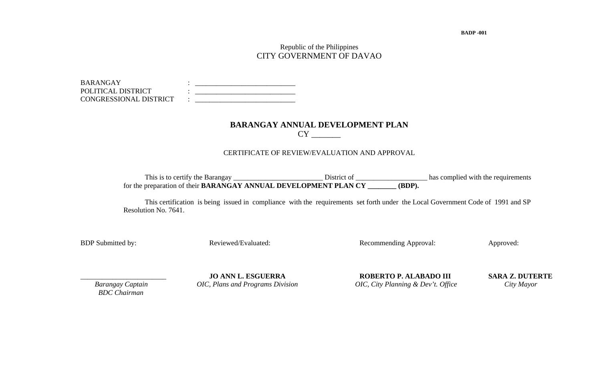**BADP -001** 

## Republic of the Philippines CITY GOVERNMENT OF DAVAO

| <b>BARANGAY</b>        |  |
|------------------------|--|
| POLITICAL DISTRICT     |  |
| CONGRESSIONAL DISTRICT |  |

# **BARANGAY ANNUAL DEVELOPMENT PLAN**  CY \_\_\_\_\_\_\_

#### CERTIFICATE OF REVIEW/EVALUATION AND APPROVAL

 This is to certify the Barangay \_\_\_\_\_\_\_\_\_\_\_\_\_\_\_\_\_\_\_\_\_\_\_\_\_ District of \_\_\_\_\_\_\_\_\_\_\_\_\_\_\_\_\_\_\_\_ has complied with the requirements for the preparation of their **BARANGAY ANNUAL DEVELOPMENT PLAN CY \_\_\_\_\_\_\_\_ (BDP).** 

 This certification is being issued in compliance with the requirements set forth under the Local Government Code of 1991 and SP Resolution No. 7641.

BDP Submitted by: Reviewed/Evaluated: Recommending Approval: Approved: Approved:

 *BDC Chairman* 

\_\_\_\_\_\_\_\_\_\_\_\_\_\_\_\_\_\_\_\_\_\_\_\_ **JO ANN L. ESGUERRA ROBERTO P. ALABADO III SARA Z. DUTERTE** *Barangay Captain OIC, Plans and Programs Division OIC, City Planning & Dev't. Office City Mayor*